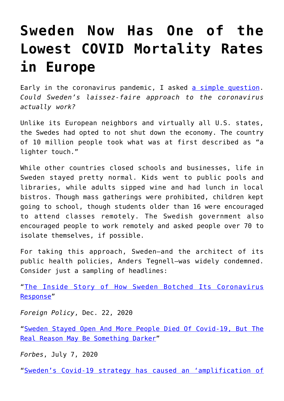## **[Sweden Now Has One of the](https://intellectualtakeout.org/2022/03/sweden-now-has-one-of-the-lowest-covid-mortality-rates-in-europe/) [Lowest COVID Mortality Rates](https://intellectualtakeout.org/2022/03/sweden-now-has-one-of-the-lowest-covid-mortality-rates-in-europe/) [in Europe](https://intellectualtakeout.org/2022/03/sweden-now-has-one-of-the-lowest-covid-mortality-rates-in-europe/)**

Early in the coronavirus pandemic, I asked [a simple question.](https://fee.org/articles/could-sweden-s-laissez-faire-approach-to-the-coronavirus-actually-work/) *Could Sweden's laissez-faire approach to the coronavirus actually work?*

Unlike its European neighbors and virtually all U.S. states, the Swedes had opted to not shut down the economy. The country of 10 million people took what was at first described as "a lighter touch."

While other countries closed schools and businesses, life in Sweden stayed pretty normal. Kids went to public pools and libraries, while adults sipped wine and had lunch in local bistros. Though mass gatherings were prohibited, children kept going to school, though students older than 16 were encouraged to attend classes remotely. The Swedish government also encouraged people to work remotely and asked people over 70 to isolate themselves, if possible.

For taking this approach, Sweden—and the architect of its public health policies, Anders Tegnell—was widely condemned. Consider just a sampling of headlines:

"[The Inside Story of How Sweden Botched Its Coronavirus](https://foreignpolicy.com/2020/12/22/sweden-coronavirus-covid-response/) [Response"](https://foreignpolicy.com/2020/12/22/sweden-coronavirus-covid-response/)

*Foreign Policy*, Dec. 22, 2020

"[Sweden Stayed Open And More People Died Of Covid-19, But The](https://www.forbes.com/sites/ericmack/2020/07/07/sweden-stayed-open-and-more-people-died-of-covid-19-but-the-real-reason-may-be-something-darker/?sh=3154d46f69bd) [Real Reason May Be Something Darker"](https://www.forbes.com/sites/ericmack/2020/07/07/sweden-stayed-open-and-more-people-died-of-covid-19-but-the-real-reason-may-be-something-darker/?sh=3154d46f69bd)

*Forbes*, July 7, 2020

"[Sweden's Covid-19 strategy has caused an 'amplification of](https://www.france24.com/en/20200517-sweden-s-covid-19-strategy-has-caused-an-amplification-of-the-epidemic)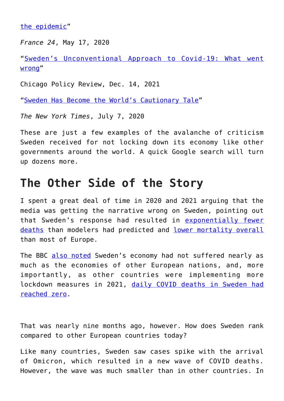[the epidemic](https://www.france24.com/en/20200517-sweden-s-covid-19-strategy-has-caused-an-amplification-of-the-epidemic)"

*France 24*, May 17, 2020

"[Sweden's Unconventional Approach to Covid-19: What went](https://chicagopolicyreview.org/2021/12/14/swedens-unconventional-approach-to-covid-19-what-went-wrong/) [wrong](https://chicagopolicyreview.org/2021/12/14/swedens-unconventional-approach-to-covid-19-what-went-wrong/)"

Chicago Policy Review, Dec. 14, 2021

"[Sweden Has Become the World's Cautionary Tale](https://www.nytimes.com/2020/07/07/business/sweden-economy-coronavirus.html)"

*The New York Times*, July 7, 2020

These are just a few examples of the avalanche of criticism Sweden received for not locking down its economy like other governments around the world. A quick Google search will turn up dozens more.

## **The Other Side of the Story**

I spent a great deal of time in 2020 and 2021 arguing that the media was getting the narrative wrong on Sweden, pointing out that Sweden's response had resulted in [exponentially fewer](https://fee.org/articles/sweden-s-actual-covid-19-results-compared-to-what-modelers-predicted-in-april/) [deaths](https://fee.org/articles/sweden-s-actual-covid-19-results-compared-to-what-modelers-predicted-in-april/) than modelers had predicted and [lower mortality overall](https://fee.org/articles/sweden-saw-lower-mortality-rate-than-most-of-europe-in-2020-despite-no-lockdown/) than most of Europe.

The BBC [also noted](https://fee.org/articles/bbc-sweden-s-economy-is-doing-way-better-than-the-rest-of-the-eu-during-the-covid-19-pandemic/) Sweden's economy had not suffered nearly as much as the economies of other European nations, and, more importantly, as other countries were implementing more lockdown measures in 2021, [daily COVID deaths in Sweden had](https://fee.org/articles/daily-covid-deaths-in-sweden-hit-zero-as-other-nations-brace-for-more-lockdowns/) [reached zero](https://fee.org/articles/daily-covid-deaths-in-sweden-hit-zero-as-other-nations-brace-for-more-lockdowns/).

That was nearly nine months ago, however. How does Sweden rank compared to other European countries today?

Like many countries, Sweden saw cases spike with the arrival of Omicron, which resulted in a new wave of COVID deaths. However, the wave was much smaller than in other countries. In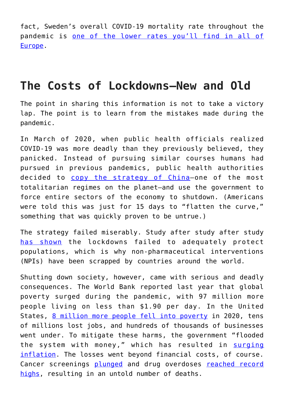fact, Sweden's overall COVID-19 mortality rate throughout the pandemic is [one of the lower rates you'll find in all of](https://www.worldometers.info/coronavirus/) [Europe](https://www.worldometers.info/coronavirus/).

## **The Costs of Lockdowns—New and Old**

The point in sharing this information is not to take a victory lap. The point is to learn from the mistakes made during the pandemic.

In March of 2020, when public health officials realized COVID-19 was more deadly than they previously believed, they panicked. Instead of pursuing similar courses humans had pursued in previous pandemics, public health authorities decided to copy the strategy of China-one of the most totalitarian regimes on the planet—and use the government to force entire sectors of the economy to shutdown. (Americans were told this was just for 15 days to "flatten the curve," something that was quickly proven to be untrue.)

The strategy failed miserably. Study after study after study [has shown](https://www.aier.org/article/lockdowns-do-not-control-the-coronavirus-the-evidence/) the lockdowns failed to adequately protect populations, which is why non-pharmaceutical interventions (NPIs) have been scrapped by countries around the world.

Shutting down society, however, came with serious and deadly consequences. The World Bank reported last year that global poverty surged during the pandemic, with 97 million more people living on less than \$1.90 per day. In the United States, [8 million more people fell into poverty](https://www.washingtonpost.com/business/2021/09/14/us-census-poverty-health-insurance-2020/) in 2020, tens of millions lost jobs, and hundreds of thousands of businesses went under. To mitigate these harms, the government "flooded the system with money," which has resulted in [surging](https://fee.org/articles/what-does-75-inflation-mean-the-rule-of-72-can-show-you/) [inflation](https://fee.org/articles/what-does-75-inflation-mean-the-rule-of-72-can-show-you/). The losses went beyond financial costs, of course. Cancer screenings [plunged](https://fee.org/articles/cancer-screenings-plummeted-in-2020-the-results-are-grim/) and drug overdoses [reached record](https://www.cnn.com/2022/03/16/health/overdose-deaths-record-high-fentanyl/index.html) [highs](https://www.cnn.com/2022/03/16/health/overdose-deaths-record-high-fentanyl/index.html), resulting in an untold number of deaths.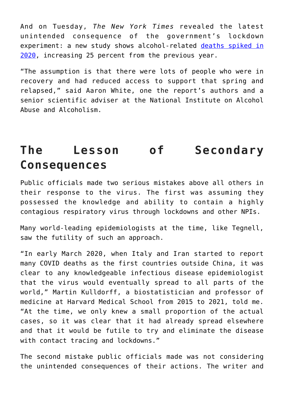And on Tuesday, *The New York Times* revealed the latest unintended consequence of the government's lockdown experiment: a new study shows alcohol-related [deaths spiked in](https://www.nytimes.com/2022/03/22/health/alcohol-deaths-covid.html?smid=tw-nytimesscience&smtyp=cur) [2020](https://www.nytimes.com/2022/03/22/health/alcohol-deaths-covid.html?smid=tw-nytimesscience&smtyp=cur), increasing 25 percent from the previous year.

"The assumption is that there were lots of people who were in recovery and had reduced access to support that spring and relapsed," said Aaron White, one the report's authors and a senior scientific adviser at the National Institute on Alcohol Abuse and Alcoholism.

## **The Lesson of Secondary Consequences**

Public officials made two serious mistakes above all others in their response to the virus. The first was assuming they possessed the knowledge and ability to contain a highly contagious respiratory virus through lockdowns and other NPIs.

Many world-leading epidemiologists at the time, like Tegnell, saw the futility of such an approach.

"In early March 2020, when Italy and Iran started to report many COVID deaths as the first countries outside China, it was clear to any knowledgeable infectious disease epidemiologist that the virus would eventually spread to all parts of the world," Martin Kulldorff, a biostatistician and professor of medicine at Harvard Medical School from 2015 to 2021, told me. "At the time, we only knew a small proportion of the actual cases, so it was clear that it had already spread elsewhere and that it would be futile to try and eliminate the disease with contact tracing and lockdowns."

The second mistake public officials made was not considering the unintended consequences of their actions. The writer and